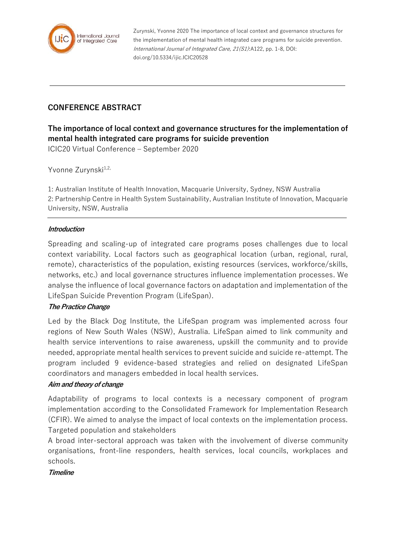

Zurynski, Yvonne 2020 The importance of local context and governance structures for the implementation of mental health integrated care programs for suicide prevention. International Journal of Integrated Care, 21(S1):A122, pp. 1-8, DOI: doi.org/10.5334/ijic.ICIC20528

# **CONFERENCE ABSTRACT**

**The importance of local context and governance structures for the implementation of mental health integrated care programs for suicide prevention** ICIC20 Virtual Conference – September 2020

Yvonne Zurynski<sup>1,2,</sup>

1: Australian Institute of Health Innovation, Macquarie University, Sydney, NSW Australia 2: Partnership Centre in Health System Sustainability, Australian Institute of Innovation, Macquarie University, NSW, Australia

#### **Introduction**

Spreading and scaling-up of integrated care programs poses challenges due to local context variability. Local factors such as geographical location (urban, regional, rural, remote), characteristics of the population, existing resources (services, workforce/skills, networks, etc.) and local governance structures influence implementation processes. We analyse the influence of local governance factors on adaptation and implementation of the LifeSpan Suicide Prevention Program (LifeSpan).

#### **The Practice Change**

Led by the Black Dog Institute, the LifeSpan program was implemented across four regions of New South Wales (NSW), Australia. LifeSpan aimed to link community and health service interventions to raise awareness, upskill the community and to provide needed, appropriate mental health services to prevent suicide and suicide re-attempt. The program included 9 evidence-based strategies and relied on designated LifeSpan coordinators and managers embedded in local health services.

#### **Aim and theory of change**

Adaptability of programs to local contexts is a necessary component of program implementation according to the Consolidated Framework for Implementation Research (CFIR). We aimed to analyse the impact of local contexts on the implementation process. Targeted population and stakeholders

A broad inter-sectoral approach was taken with the involvement of diverse community organisations, front-line responders, health services, local councils, workplaces and schools.

#### **Timeline**